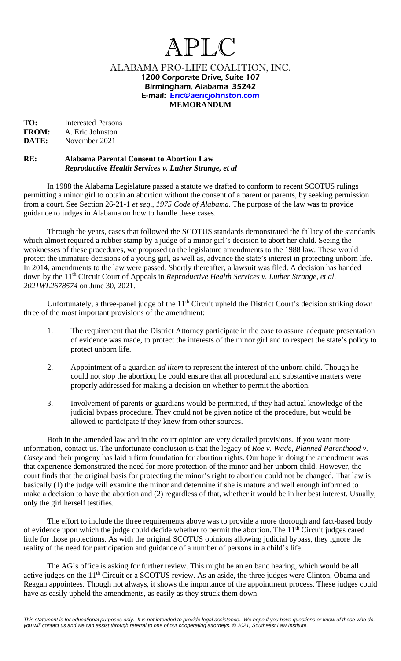## APLC

ALABAMA PRO-LIFE COALITION, INC. 1200 Corporate Drive, Suite 107 Birmingham, Alabama 35242 E-mail: [Eric@aericjohnston.com](mailto:AericJohnston@AOL.com) **MEMORANDUM** 

**TO:** Interested Persons<br>**FROM:** A. Eric Johnston A. Eric Johnston **DATE:** November 2021

## **RE: Alabama Parental Consent to Abortion Law** *Reproductive Health Services v. Luther Strange, et al*

In 1988 the Alabama Legislature passed a statute we drafted to conform to recent SCOTUS rulings permitting a minor girl to obtain an abortion without the consent of a parent or parents, by seeking permission from a court. See Section 26-21-1 *et seq*., *1975 Code of Alabama*. The purpose of the law was to provide guidance to judges in Alabama on how to handle these cases.

Through the years, cases that followed the SCOTUS standards demonstrated the fallacy of the standards which almost required a rubber stamp by a judge of a minor girl's decision to abort her child. Seeing the weaknesses of these procedures, we proposed to the legislature amendments to the 1988 law. These would protect the immature decisions of a young girl, as well as, advance the state's interest in protecting unborn life. In 2014, amendments to the law were passed. Shortly thereafter, a lawsuit was filed. A decision has handed down by the 11<sup>th</sup> Circuit Court of Appeals in *Reproductive Health Services v. Luther Strange, et al, 2021WL2678574* on June 30, 2021.

Unfortunately, a three-panel judge of the  $11<sup>th</sup>$  Circuit upheld the District Court's decision striking down three of the most important provisions of the amendment:

- 1. The requirement that the District Attorney participate in the case to assure adequate presentation of evidence was made, to protect the interests of the minor girl and to respect the state's policy to protect unborn life.
- 2. Appointment of a guardian *ad litem* to represent the interest of the unborn child. Though he could not stop the abortion, he could ensure that all procedural and substantive matters were properly addressed for making a decision on whether to permit the abortion.
- 3. Involvement of parents or guardians would be permitted, if they had actual knowledge of the judicial bypass procedure. They could not be given notice of the procedure, but would be allowed to participate if they knew from other sources.

Both in the amended law and in the court opinion are very detailed provisions. If you want more information, contact us. The unfortunate conclusion is that the legacy of *Roe v. Wade*, *Planned Parenthood v. Casey* and their progeny has laid a firm foundation for abortion rights. Our hope in doing the amendment was that experience demonstrated the need for more protection of the minor and her unborn child. However, the court finds that the original basis for protecting the minor's right to abortion could not be changed. That law is basically (1) the judge will examine the minor and determine if she is mature and well enough informed to make a decision to have the abortion and (2) regardless of that, whether it would be in her best interest. Usually, only the girl herself testifies.

The effort to include the three requirements above was to provide a more thorough and fact-based body of evidence upon which the judge could decide whether to permit the abortion. The 11<sup>th</sup> Circuit judges cared little for those protections. As with the original SCOTUS opinions allowing judicial bypass, they ignore the reality of the need for participation and guidance of a number of persons in a child's life.

The AG's office is asking for further review. This might be an en banc hearing, which would be all active judges on the 11<sup>th</sup> Circuit or a SCOTUS review. As an aside, the three judges were Clinton, Obama and Reagan appointees. Though not always, it shows the importance of the appointment process. These judges could have as easily upheld the amendments, as easily as they struck them down.